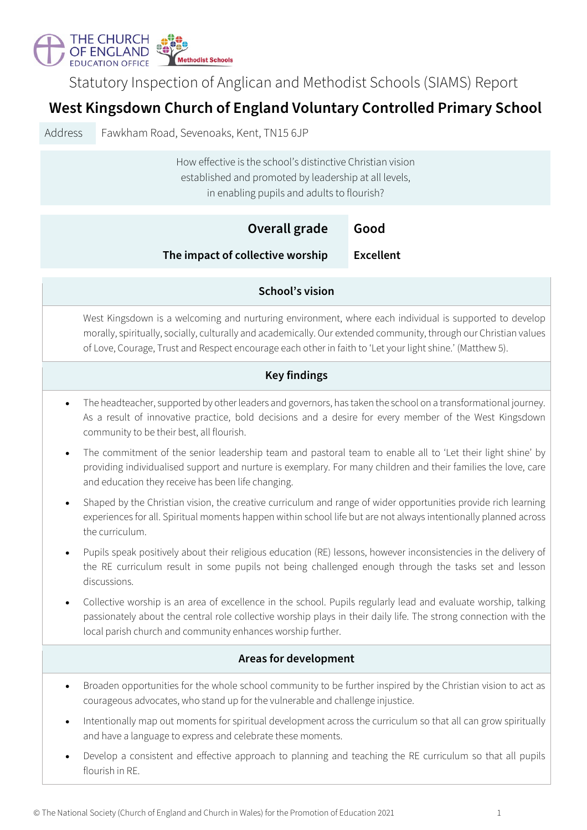

Statutory Inspection of Anglican and Methodist Schools (SIAMS) Report

## **West Kingsdown Church of England Voluntary Controlled Primary School**

Address Fawkham Road, Sevenoaks, Kent, TN15 6JP

How effective is the school's distinctive Christian vision established and promoted by leadership at all levels, in enabling pupils and adults to flourish?

|                              | <b>Overall grade</b>                                                                                                                                                                                                                                                                                                                     | Good             |  |  |  |
|------------------------------|------------------------------------------------------------------------------------------------------------------------------------------------------------------------------------------------------------------------------------------------------------------------------------------------------------------------------------------|------------------|--|--|--|
|                              | The impact of collective worship                                                                                                                                                                                                                                                                                                         | <b>Excellent</b> |  |  |  |
|                              |                                                                                                                                                                                                                                                                                                                                          |                  |  |  |  |
| <b>School's vision</b>       |                                                                                                                                                                                                                                                                                                                                          |                  |  |  |  |
|                              | West Kingsdown is a welcoming and nurturing environment, where each individual is supported to develop<br>morally, spiritually, socially, culturally and academically. Our extended community, through our Christian values<br>of Love, Courage, Trust and Respect encourage each other in faith to 'Let your light shine.' (Matthew 5). |                  |  |  |  |
| <b>Key findings</b>          |                                                                                                                                                                                                                                                                                                                                          |                  |  |  |  |
| $\bullet$                    | The headteacher, supported by other leaders and governors, has taken the school on a transformational journey.<br>As a result of innovative practice, bold decisions and a desire for every member of the West Kingsdown<br>community to be their best, all flourish.                                                                    |                  |  |  |  |
| $\bullet$                    | The commitment of the senior leadership team and pastoral team to enable all to 'Let their light shine' by<br>providing individualised support and nurture is exemplary. For many children and their families the love, care<br>and education they receive has been life changing.                                                       |                  |  |  |  |
| $\bullet$                    | Shaped by the Christian vision, the creative curriculum and range of wider opportunities provide rich learning<br>experiences for all. Spiritual moments happen within school life but are not always intentionally planned across<br>the curriculum.                                                                                    |                  |  |  |  |
| $\bullet$                    | Pupils speak positively about their religious education (RE) lessons, however inconsistencies in the delivery of<br>the RE curriculum result in some pupils not being challenged enough through the tasks set and lesson<br>discussions.                                                                                                 |                  |  |  |  |
| $\bullet$                    | Collective worship is an area of excellence in the school. Pupils regularly lead and evaluate worship, talking<br>passionately about the central role collective worship plays in their daily life. The strong connection with the<br>local parish church and community enhances worship further.                                        |                  |  |  |  |
| <b>Areas for development</b> |                                                                                                                                                                                                                                                                                                                                          |                  |  |  |  |
| $\bullet$                    | Broaden opportunities for the whole school community to be further inspired by the Christian vision to act as<br>courageous advocates, who stand up for the vulnerable and challenge injustice.                                                                                                                                          |                  |  |  |  |
| $\bullet$                    | Intentionally map out moments for spiritual development across the curriculum so that all can grow spiritually<br>and have a language to express and celebrate these moments.                                                                                                                                                            |                  |  |  |  |
|                              | Develop a consistent and effective approach to planning and teaching the RE curriculum so that all pupils<br>flourish in RE.                                                                                                                                                                                                             |                  |  |  |  |
|                              |                                                                                                                                                                                                                                                                                                                                          |                  |  |  |  |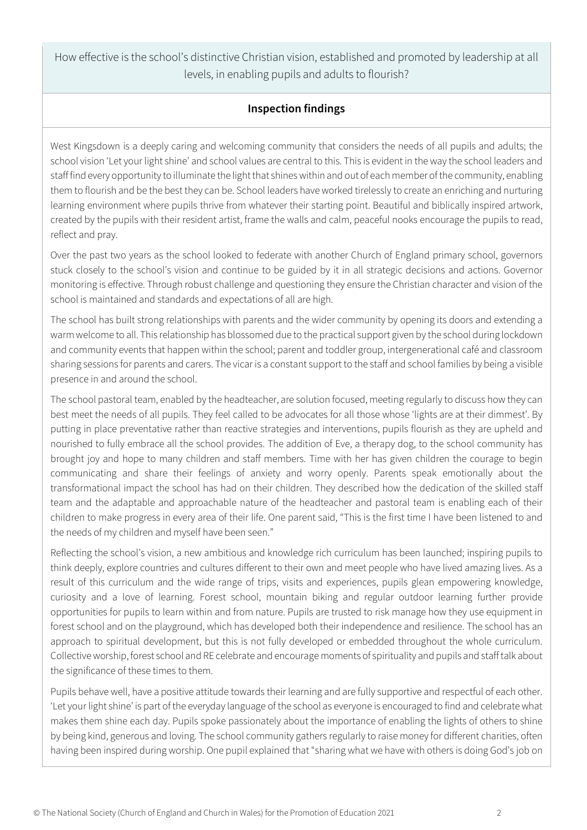How effective is the school's distinctive Christian vision, established and promoted by leadership at all levels, in enabling pupils and adults to flourish?

## **Inspection findings**

West Kingsdown is a deeply caring and welcoming community that considers the needs of all pupils and adults; the school vision 'Let your light shine' and school values are central to this. This is evident in the way the school leaders and staff find every opportunity to illuminate the light that shines within and out of each member of the community, enabling them to flourish and be the best they can be. School leaders have worked tirelessly to create an enriching and nurturing learning environment where pupils thrive from whatever their starting point. Beautiful and biblically inspired artwork, created by the pupils with their resident artist, frame the walls and calm, peaceful nooks encourage the pupils to read, reflect and pray.

Over the past two years as the school looked to federate with another Church of England primary school, governors stuck closely to the school's vision and continue to be guided by it in all strategic decisions and actions. Governor monitoring is effective. Through robust challenge and questioning they ensure the Christian character and vision of the school is maintained and standards and expectations of all are high.

The school has built strong relationships with parents and the wider community by opening its doors and extending a warm welcome to all. This relationship has blossomed due to the practical support given by the school during lockdown and community events that happen within the school; parent and toddler group, intergenerational café and classroom sharing sessions for parents and carers. The vicar is a constant support to the staff and school families by being a visible presence in and around the school.

The school pastoral team, enabled by the headteacher, are solution focused, meeting regularly to discuss how they can best meet the needs of all pupils. They feel called to be advocates for all those whose 'lights are at their dimmest'. By putting in place preventative rather than reactive strategies and interventions, pupils flourish as they are upheld and nourished to fully embrace all the school provides. The addition of Eve, a therapy dog, to the school community has brought joy and hope to many children and staff members. Time with her has given children the courage to begin communicating and share their feelings of anxiety and worry openly. Parents speak emotionally about the transformational impact the school has had on their children. They described how the dedication of the skilled staff team and the adaptable and approachable nature of the headteacher and pastoral team is enabling each of their children to make progress in every area of their life. One parent said, "This is the first time I have been listened to and the needs of my children and myself have been seen."

Reflecting the school's vision, a new ambitious and knowledge rich curriculum has been launched; inspiring pupils to think deeply, explore countries and cultures different to their own and meet people who have lived amazing lives. As a result of this curriculum and the wide range of trips, visits and experiences, pupils glean empowering knowledge, curiosity and a love of learning. Forest school, mountain biking and regular outdoor learning further provide opportunities for pupils to learn within and from nature. Pupils are trusted to risk manage how they use equipment in forest school and on the playground, which has developed both their independence and resilience. The school has an approach to spiritual development, but this is not fully developed or embedded throughout the whole curriculum. Collective worship, forest school and RE celebrate and encourage moments of spirituality and pupils and staff talk about the significance of these times to them.

Pupils behave well, have a positive attitude towards their learning and are fully supportive and respectful of each other. 'Let your light shine' is part of the everyday language of the school as everyone is encouraged to find and celebrate what makes them shine each day. Pupils spoke passionately about the importance of enabling the lights of others to shine by being kind, generous and loving. The school community gathers regularly to raise money for different charities, often having been inspired during worship. One pupil explained that "sharing what we have with others is doing God's job on